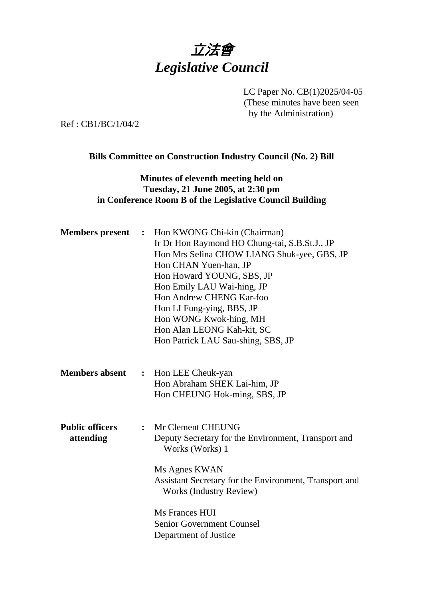

LC Paper No. CB(1)2025/04-05 (These minutes have been seen by the Administration)

Ref : CB1/BC/1/04/2

## **Bills Committee on Construction Industry Council (No. 2) Bill**

## **Minutes of eleventh meeting held on Tuesday, 21 June 2005, at 2:30 pm in Conference Room B of the Legislative Council Building**

| <b>Members</b> present              | $\ddot{\cdot}$ | Hon KWONG Chi-kin (Chairman)<br>Ir Dr Hon Raymond HO Chung-tai, S.B.St.J., JP<br>Hon Mrs Selina CHOW LIANG Shuk-yee, GBS, JP<br>Hon CHAN Yuen-han, JP<br>Hon Howard YOUNG, SBS, JP<br>Hon Emily LAU Wai-hing, JP<br>Hon Andrew CHENG Kar-foo<br>Hon LI Fung-ying, BBS, JP<br>Hon WONG Kwok-hing, MH<br>Hon Alan LEONG Kah-kit, SC<br>Hon Patrick LAU Sau-shing, SBS, JP |
|-------------------------------------|----------------|-------------------------------------------------------------------------------------------------------------------------------------------------------------------------------------------------------------------------------------------------------------------------------------------------------------------------------------------------------------------------|
| <b>Members absent</b>               | $\ddot{\cdot}$ | Hon LEE Cheuk-yan<br>Hon Abraham SHEK Lai-him, JP<br>Hon CHEUNG Hok-ming, SBS, JP                                                                                                                                                                                                                                                                                       |
| <b>Public officers</b><br>attending | $\cdot$ .      | Mr Clement CHEUNG<br>Deputy Secretary for the Environment, Transport and<br>Works (Works) 1<br>Ms Agnes KWAN<br>Assistant Secretary for the Environment, Transport and<br><b>Works (Industry Review)</b><br>Ms Frances HUI<br><b>Senior Government Counsel</b><br>Department of Justice                                                                                 |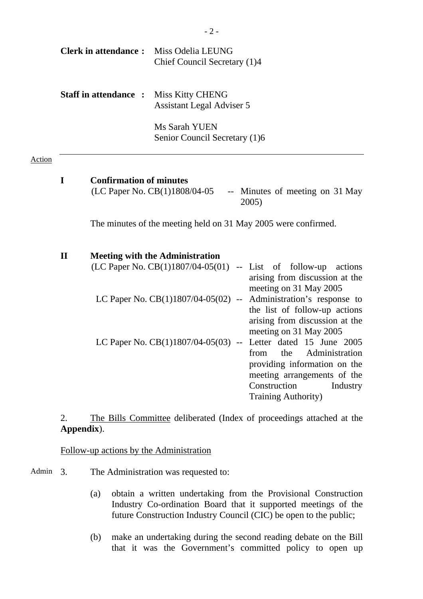|        |              | <b>Clerk in attendance:</b>    | Miss Odelia LEUNG<br>Chief Council Secretary (1)4                             |               |                                                                                                                                                                                     |
|--------|--------------|--------------------------------|-------------------------------------------------------------------------------|---------------|-------------------------------------------------------------------------------------------------------------------------------------------------------------------------------------|
|        |              | <b>Staff in attendance:</b>    | <b>Miss Kitty CHENG</b><br><b>Assistant Legal Adviser 5</b><br>Ms Sarah YUEN  |               |                                                                                                                                                                                     |
|        |              |                                | Senior Council Secretary (1)6                                                 |               |                                                                                                                                                                                     |
| Action |              |                                |                                                                               |               |                                                                                                                                                                                     |
|        | I            | <b>Confirmation of minutes</b> | (LC Paper No. CB(1)1808/04-05                                                 |               | -- Minutes of meeting on 31 May<br>2005)                                                                                                                                            |
|        |              |                                |                                                                               |               | The minutes of the meeting held on 31 May 2005 were confirmed.                                                                                                                      |
|        | $\mathbf{I}$ |                                | <b>Meeting with the Administration</b><br>(LC Paper No. $CB(1)1807/04-05(01)$ |               | -- List of follow-up actions<br>arising from discussion at the<br>meeting on 31 May 2005                                                                                            |
|        |              |                                | LC Paper No. CB(1)1807/04-05(02)                                              | $\sim$ $\sim$ | Administration's response to<br>the list of follow-up actions<br>arising from discussion at the<br>meeting on 31 May 2005                                                           |
|        |              |                                | LC Paper No. $CB(1)1807/04-05(03)$ --                                         |               | Letter dated 15 June 2005<br>Administration<br>the<br>from<br>providing information on the<br>meeting arrangements of the<br>Construction<br>Industry<br><b>Training Authority)</b> |

2. The Bills Committee deliberated (Index of proceedings attached at the **Appendix**).

Follow-up actions by the Administration

- Admin 3. The Administration was requested to:
	- (a) obtain a written undertaking from the Provisional Construction Industry Co-ordination Board that it supported meetings of the future Construction Industry Council (CIC) be open to the public;
	- (b) make an undertaking during the second reading debate on the Bill that it was the Government's committed policy to open up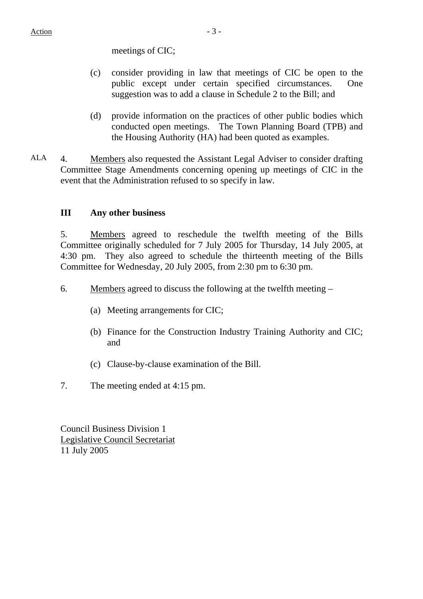meetings of CIC;

- (c) consider providing in law that meetings of CIC be open to the public except under certain specified circumstances. One suggestion was to add a clause in Schedule 2 to the Bill; and
- (d) provide information on the practices of other public bodies which conducted open meetings. The Town Planning Board (TPB) and the Housing Authority (HA) had been quoted as examples.
- ALA 4. Members also requested the Assistant Legal Adviser to consider drafting Committee Stage Amendments concerning opening up meetings of CIC in the event that the Administration refused to so specify in law.

## **III Any other business**

5. Members agreed to reschedule the twelfth meeting of the Bills Committee originally scheduled for 7 July 2005 for Thursday, 14 July 2005, at 4:30 pm. They also agreed to schedule the thirteenth meeting of the Bills Committee for Wednesday, 20 July 2005, from 2:30 pm to 6:30 pm.

- 6. Members agreed to discuss the following at the twelfth meeting
	- (a) Meeting arrangements for CIC;
	- (b) Finance for the Construction Industry Training Authority and CIC; and
	- (c) Clause-by-clause examination of the Bill.
- 7. The meeting ended at 4:15 pm.

Council Business Division 1 Legislative Council Secretariat 11 July 2005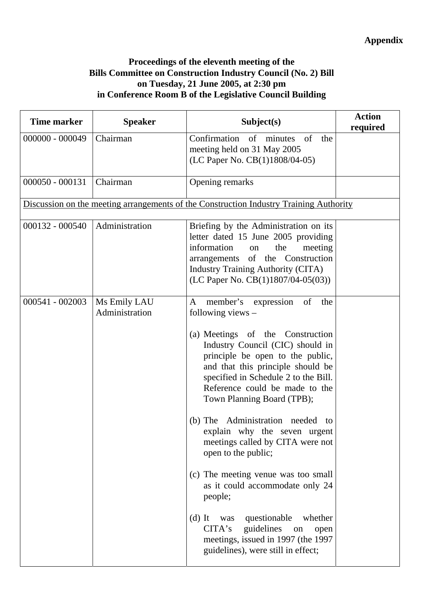## **Proceedings of the eleventh meeting of the Bills Committee on Construction Industry Council (No. 2) Bill on Tuesday, 21 June 2005, at 2:30 pm in Conference Room B of the Legislative Council Building**

| <b>Time marker</b> | <b>Speaker</b>                 | Subject(s)                                                                                                                                                                                                                                                                                                                                                                                                                                                                                                                                                                                                                                                                                                | <b>Action</b><br>required |
|--------------------|--------------------------------|-----------------------------------------------------------------------------------------------------------------------------------------------------------------------------------------------------------------------------------------------------------------------------------------------------------------------------------------------------------------------------------------------------------------------------------------------------------------------------------------------------------------------------------------------------------------------------------------------------------------------------------------------------------------------------------------------------------|---------------------------|
| 000000 - 000049    | Chairman                       | Confirmation of minutes<br>of<br>the<br>meeting held on 31 May 2005<br>(LC Paper No. CB(1)1808/04-05)                                                                                                                                                                                                                                                                                                                                                                                                                                                                                                                                                                                                     |                           |
| $000050 - 000131$  | Chairman                       | Opening remarks                                                                                                                                                                                                                                                                                                                                                                                                                                                                                                                                                                                                                                                                                           |                           |
|                    |                                | Discussion on the meeting arrangements of the Construction Industry Training Authority                                                                                                                                                                                                                                                                                                                                                                                                                                                                                                                                                                                                                    |                           |
| 000132 - 000540    | Administration                 | Briefing by the Administration on its<br>letter dated 15 June 2005 providing<br>information<br>the<br>meeting<br>on<br>arrangements of the Construction<br><b>Industry Training Authority (CITA)</b><br>(LC Paper No. CB(1)1807/04-05(03))                                                                                                                                                                                                                                                                                                                                                                                                                                                                |                           |
| 000541 - 002003    | Ms Emily LAU<br>Administration | of<br>member's expression<br>A<br>the<br>following views $-$<br>(a) Meetings of the Construction<br>Industry Council (CIC) should in<br>principle be open to the public,<br>and that this principle should be<br>specified in Schedule 2 to the Bill.<br>Reference could be made to the<br>Town Planning Board (TPB);<br>(b) The Administration needed<br>to<br>explain why the seven urgent<br>meetings called by CITA were not<br>open to the public;<br>(c) The meeting venue was too small<br>as it could accommodate only 24<br>people;<br>was questionable<br>$(d)$ It<br>whether<br>guidelines<br>CITA's<br>open<br>on<br>meetings, issued in 1997 (the 1997<br>guidelines), were still in effect; |                           |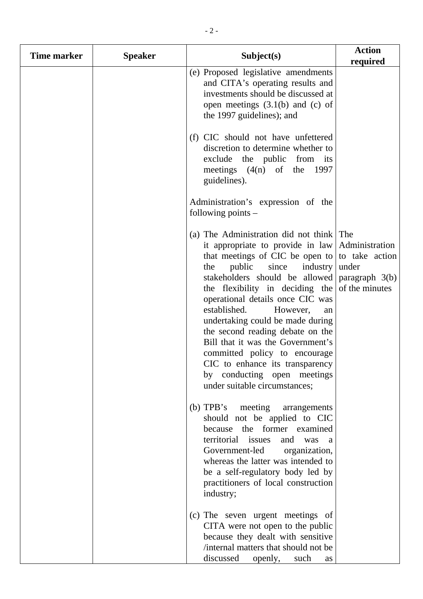| Time marker | <b>Speaker</b> | Subject(s)                                                                                                                                                                                                                                                                                                                                                                                                                                                                                                                                                   | <b>Action</b><br>required                                            |
|-------------|----------------|--------------------------------------------------------------------------------------------------------------------------------------------------------------------------------------------------------------------------------------------------------------------------------------------------------------------------------------------------------------------------------------------------------------------------------------------------------------------------------------------------------------------------------------------------------------|----------------------------------------------------------------------|
|             |                | (e) Proposed legislative amendments<br>and CITA's operating results and<br>investments should be discussed at<br>open meetings $(3.1(b)$ and $(c)$ of<br>the 1997 guidelines); and                                                                                                                                                                                                                                                                                                                                                                           |                                                                      |
|             |                | (f) CIC should not have unfettered<br>discretion to determine whether to<br>exclude the public from its<br>meetings $(4(n)$ of the 1997<br>guidelines).                                                                                                                                                                                                                                                                                                                                                                                                      |                                                                      |
|             |                | Administration's expression of the<br>following points $-$                                                                                                                                                                                                                                                                                                                                                                                                                                                                                                   |                                                                      |
|             |                | (a) The Administration did not think<br>it appropriate to provide in law<br>that meetings of CIC be open to to take action<br>public<br>industry<br>since<br>the<br>stakeholders should be allowed<br>the flexibility in deciding the<br>operational details once CIC was<br>established.<br>However,<br>an<br>undertaking could be made during<br>the second reading debate on the<br>Bill that it was the Government's<br>committed policy to encourage<br>CIC to enhance its transparency<br>by conducting open meetings<br>under suitable circumstances; | The<br>Administration<br>under<br>paragraph $3(b)$<br>of the minutes |
|             |                | (b) TPB's meeting<br>arrangements<br>should not be applied to CIC<br>because the former examined<br>territorial issues<br>and<br>was<br><sub>a</sub><br>Government-led<br>organization,<br>whereas the latter was intended to<br>be a self-regulatory body led by<br>practitioners of local construction<br>industry;                                                                                                                                                                                                                                        |                                                                      |
|             |                | (c) The seven urgent meetings of<br>CITA were not open to the public<br>because they dealt with sensitive<br>/internal matters that should not be<br>discussed<br>openly, such<br>as                                                                                                                                                                                                                                                                                                                                                                         |                                                                      |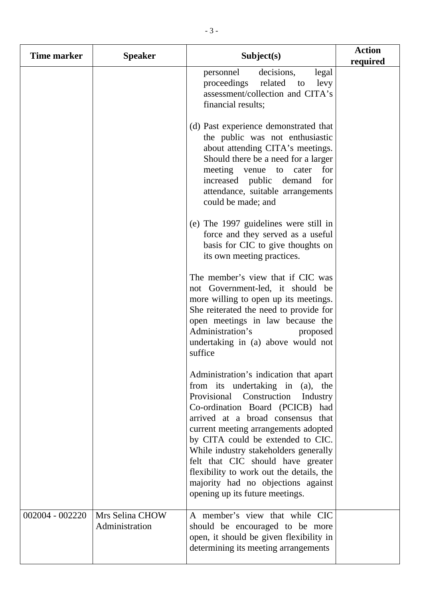| Time marker     | <b>Speaker</b>                    | Subject(s)                                                                                                                                                                                                                                                                                                                                                                                                                                                                 | <b>Action</b><br>required |
|-----------------|-----------------------------------|----------------------------------------------------------------------------------------------------------------------------------------------------------------------------------------------------------------------------------------------------------------------------------------------------------------------------------------------------------------------------------------------------------------------------------------------------------------------------|---------------------------|
|                 |                                   | decisions,<br>personnel<br>legal<br>proceedings related<br>levy<br>to<br>assessment/collection and CITA's<br>financial results;                                                                                                                                                                                                                                                                                                                                            |                           |
|                 |                                   | (d) Past experience demonstrated that<br>the public was not enthusiastic<br>about attending CITA's meetings.<br>Should there be a need for a larger<br>meeting venue<br>to cater<br>for<br>increased public<br>demand<br>for<br>attendance, suitable arrangements<br>could be made; and                                                                                                                                                                                    |                           |
|                 |                                   | (e) The 1997 guidelines were still in<br>force and they served as a useful<br>basis for CIC to give thoughts on<br>its own meeting practices.                                                                                                                                                                                                                                                                                                                              |                           |
|                 |                                   | The member's view that if CIC was<br>not Government-led, it should be<br>more willing to open up its meetings.<br>She reiterated the need to provide for<br>open meetings in law because the<br>Administration's<br>proposed<br>undertaking in (a) above would not<br>suffice                                                                                                                                                                                              |                           |
|                 |                                   | Administration's indication that apart<br>from its undertaking in (a), the<br>Provisional Construction<br>Industry<br>Co-ordination Board (PCICB) had<br>arrived at a broad consensus that<br>current meeting arrangements adopted<br>by CITA could be extended to CIC.<br>While industry stakeholders generally<br>felt that CIC should have greater<br>flexibility to work out the details, the<br>majority had no objections against<br>opening up its future meetings. |                           |
| 002004 - 002220 | Mrs Selina CHOW<br>Administration | A member's view that while CIC<br>should be encouraged to be more<br>open, it should be given flexibility in<br>determining its meeting arrangements                                                                                                                                                                                                                                                                                                                       |                           |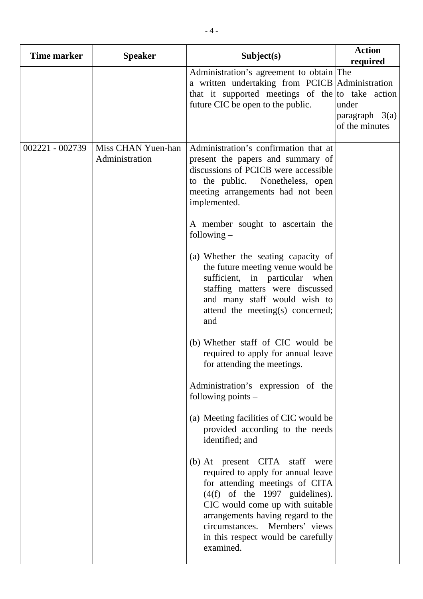| Time marker     | <b>Speaker</b>                       | Subject(s)                                                                                                                                                                                                                                                                                                                                                                                                                                                                                                                                                                                                                                                                                                                                                                                                                                                                                                                                                                                                                                                                     | <b>Action</b><br>required                   |
|-----------------|--------------------------------------|--------------------------------------------------------------------------------------------------------------------------------------------------------------------------------------------------------------------------------------------------------------------------------------------------------------------------------------------------------------------------------------------------------------------------------------------------------------------------------------------------------------------------------------------------------------------------------------------------------------------------------------------------------------------------------------------------------------------------------------------------------------------------------------------------------------------------------------------------------------------------------------------------------------------------------------------------------------------------------------------------------------------------------------------------------------------------------|---------------------------------------------|
|                 |                                      | Administration's agreement to obtain The<br>a written undertaking from PCICB Administration<br>that it supported meetings of the to take action<br>future CIC be open to the public.                                                                                                                                                                                                                                                                                                                                                                                                                                                                                                                                                                                                                                                                                                                                                                                                                                                                                           | under<br>paragraph $3(a)$<br>of the minutes |
| 002221 - 002739 | Miss CHAN Yuen-han<br>Administration | Administration's confirmation that at<br>present the papers and summary of<br>discussions of PCICB were accessible<br>to the public. Nonetheless, open<br>meeting arrangements had not been<br>implemented.<br>A member sought to ascertain the<br>following $-$<br>(a) Whether the seating capacity of<br>the future meeting venue would be<br>sufficient, in particular when<br>staffing matters were discussed<br>and many staff would wish to<br>attend the meeting(s) concerned;<br>and<br>(b) Whether staff of CIC would be<br>required to apply for annual leave<br>for attending the meetings.<br>Administration's expression of the<br>following points $-$<br>(a) Meeting facilities of CIC would be<br>provided according to the needs<br>identified; and<br>(b) At present CITA staff were<br>required to apply for annual leave<br>for attending meetings of CITA<br>$(4(f)$ of the 1997 guidelines).<br>CIC would come up with suitable<br>arrangements having regard to the<br>circumstances. Members' views<br>in this respect would be carefully<br>examined. |                                             |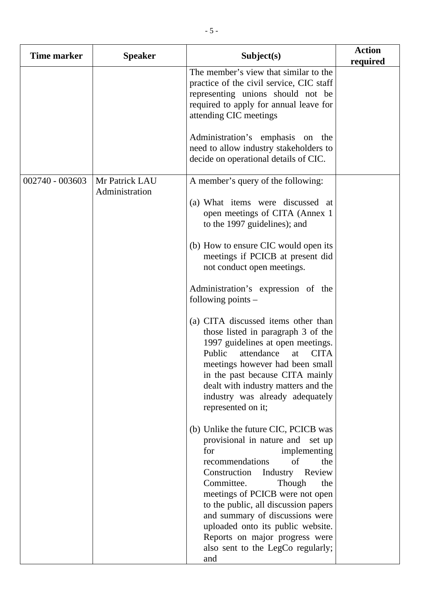| <b>Time marker</b> | <b>Speaker</b> | Subject(s)                                                                                                                                                                                                                                                                                                                                                                                                                            | <b>Action</b><br>required |
|--------------------|----------------|---------------------------------------------------------------------------------------------------------------------------------------------------------------------------------------------------------------------------------------------------------------------------------------------------------------------------------------------------------------------------------------------------------------------------------------|---------------------------|
|                    |                | The member's view that similar to the<br>practice of the civil service, CIC staff<br>representing unions should not be<br>required to apply for annual leave for<br>attending CIC meetings                                                                                                                                                                                                                                            |                           |
|                    |                | Administration's emphasis on the<br>need to allow industry stakeholders to<br>decide on operational details of CIC.                                                                                                                                                                                                                                                                                                                   |                           |
| 002740 - 003603    | Mr Patrick LAU | A member's query of the following:                                                                                                                                                                                                                                                                                                                                                                                                    |                           |
|                    | Administration | (a) What items were discussed at<br>open meetings of CITA (Annex 1)<br>to the 1997 guidelines); and                                                                                                                                                                                                                                                                                                                                   |                           |
|                    |                | (b) How to ensure CIC would open its<br>meetings if PCICB at present did<br>not conduct open meetings.                                                                                                                                                                                                                                                                                                                                |                           |
|                    |                | Administration's expression of the<br>following points -                                                                                                                                                                                                                                                                                                                                                                              |                           |
|                    |                | (a) CITA discussed items other than<br>those listed in paragraph 3 of the<br>1997 guidelines at open meetings.<br>Public<br>attendance<br><b>CITA</b><br>at<br>meetings however had been small<br>in the past because CITA mainly<br>dealt with industry matters and the<br>industry was already adequately<br>represented on it;                                                                                                     |                           |
|                    |                | (b) Unlike the future CIC, PCICB was<br>provisional in nature and set up<br>for<br>implementing<br>recommendations<br>of<br>the<br>Construction<br>Industry<br>Review<br>Committee.<br>Though<br>the<br>meetings of PCICB were not open<br>to the public, all discussion papers<br>and summary of discussions were<br>uploaded onto its public website.<br>Reports on major progress were<br>also sent to the LegCo regularly;<br>and |                           |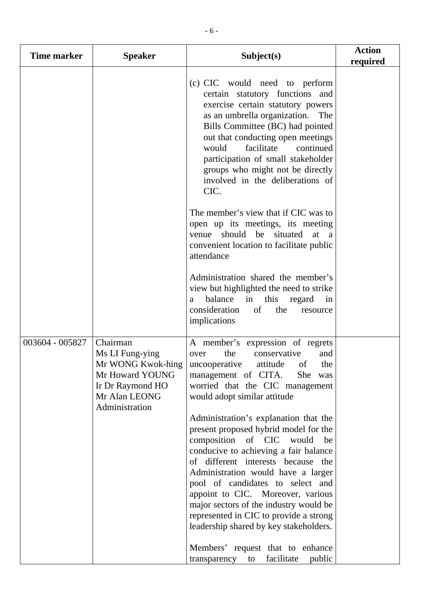| <b>Time marker</b> | <b>Speaker</b>                                                                                                             | Subject(s)                                                                                                                                                                                                                                                                                                                                                                                         | <b>Action</b><br>required |
|--------------------|----------------------------------------------------------------------------------------------------------------------------|----------------------------------------------------------------------------------------------------------------------------------------------------------------------------------------------------------------------------------------------------------------------------------------------------------------------------------------------------------------------------------------------------|---------------------------|
|                    |                                                                                                                            | (c) CIC would need to perform<br>certain statutory functions and<br>exercise certain statutory powers<br>as an umbrella organization.<br>The<br>Bills Committee (BC) had pointed<br>out that conducting open meetings<br>facilitate<br>continued<br>would<br>participation of small stakeholder<br>groups who might not be directly<br>involved in the deliberations of<br>CIC.                    |                           |
|                    |                                                                                                                            | The member's view that if CIC was to<br>open up its meetings, its meeting<br>venue should be situated<br>at<br><sub>a</sub><br>convenient location to facilitate public<br>attendance                                                                                                                                                                                                              |                           |
|                    |                                                                                                                            | Administration shared the member's<br>view but highlighted the need to strike<br>balance<br>in<br>this<br>regard<br>in<br>a<br>consideration<br>of<br>the<br>resource<br>implications                                                                                                                                                                                                              |                           |
| 003604 - 005827    | Chairman<br>Ms LI Fung-ying<br>Mr WONG Kwok-hing<br>Mr Howard YOUNG<br>Ir Dr Raymond HO<br>Mr Alan LEONG<br>Administration | A member's expression of regrets<br>conservative<br>the<br>and<br>over<br>of<br>the<br>uncooperative<br>attitude<br>management of CITA.<br>She was<br>worried that the CIC management<br>would adopt similar attitude                                                                                                                                                                              |                           |
|                    |                                                                                                                            | Administration's explanation that the<br>present proposed hybrid model for the<br>composition of CIC would<br>be<br>conducive to achieving a fair balance<br>of different interests because the<br>Administration would have a larger<br>pool of candidates to select and<br>appoint to CIC. Moreover, various<br>major sectors of the industry would be<br>represented in CIC to provide a strong |                           |
|                    |                                                                                                                            | leadership shared by key stakeholders.<br>Members' request that to enhance<br>facilitate<br>public<br>transparency<br>to                                                                                                                                                                                                                                                                           |                           |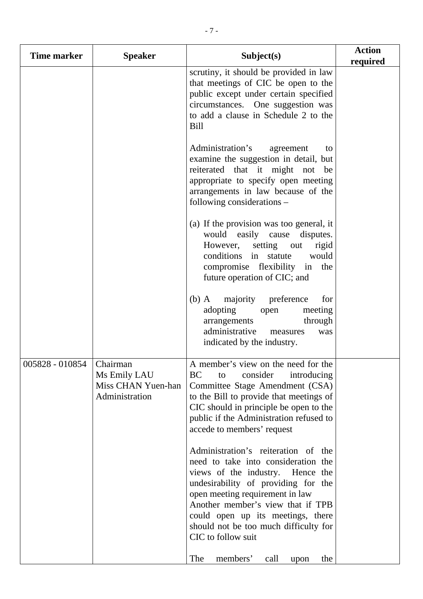| Time marker     | <b>Speaker</b>                                                   | Subject(s)                                                                                                                                                                                                                                                                                                                        | <b>Action</b><br>required |
|-----------------|------------------------------------------------------------------|-----------------------------------------------------------------------------------------------------------------------------------------------------------------------------------------------------------------------------------------------------------------------------------------------------------------------------------|---------------------------|
|                 |                                                                  | scrutiny, it should be provided in law<br>that meetings of CIC be open to the<br>public except under certain specified<br>circumstances. One suggestion was<br>to add a clause in Schedule 2 to the<br><b>Bill</b>                                                                                                                |                           |
|                 |                                                                  | Administration's<br>agreement<br>to<br>examine the suggestion in detail, but<br>reiterated that it might not be<br>appropriate to specify open meeting<br>arrangements in law because of the<br>following considerations -                                                                                                        |                           |
|                 |                                                                  | (a) If the provision was too general, it<br>would easily cause disputes.<br>However,<br>setting out<br>rigid<br>conditions in statute<br>would<br>compromise flexibility in the<br>future operation of CIC; and                                                                                                                   |                           |
|                 |                                                                  | majority preference<br>$(b)$ A<br>for<br>adopting<br>meeting<br>open<br>through<br>arrangements<br>administrative<br>was<br>measures<br>indicated by the industry.                                                                                                                                                                |                           |
| 005828 - 010854 | Chairman<br>Ms Emily LAU<br>Miss CHAN Yuen-han<br>Administration | A member's view on the need for the<br><b>BC</b><br>consider<br>introducing<br>to<br>Committee Stage Amendment (CSA)<br>to the Bill to provide that meetings of<br>CIC should in principle be open to the<br>public if the Administration refused to<br>accede to members' request                                                |                           |
|                 |                                                                  | Administration's reiteration of the<br>need to take into consideration the<br>views of the industry. Hence the<br>undesirability of providing for the<br>open meeting requirement in law<br>Another member's view that if TPB<br>could open up its meetings, there<br>should not be too much difficulty for<br>CIC to follow suit |                           |
|                 |                                                                  | The<br>members'<br>the<br>call<br>upon                                                                                                                                                                                                                                                                                            |                           |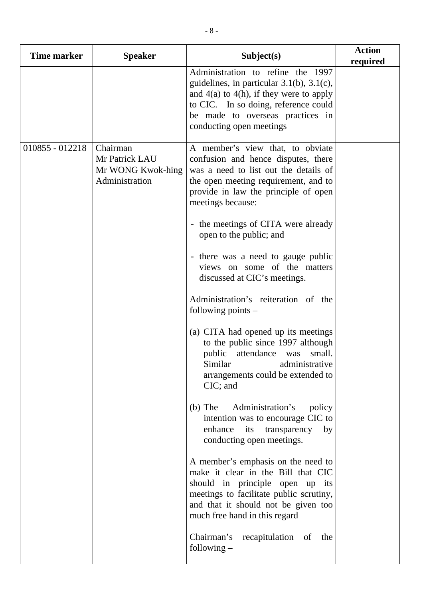| Time marker     | <b>Speaker</b>                                                    | Subject(s)                                                                                                                                                                                                                                                                                                                                                                                                                                                                                                                                                                                                                                                                                                                                                                                                                                                                                                                                                                                                                                                                                            | <b>Action</b><br>required |
|-----------------|-------------------------------------------------------------------|-------------------------------------------------------------------------------------------------------------------------------------------------------------------------------------------------------------------------------------------------------------------------------------------------------------------------------------------------------------------------------------------------------------------------------------------------------------------------------------------------------------------------------------------------------------------------------------------------------------------------------------------------------------------------------------------------------------------------------------------------------------------------------------------------------------------------------------------------------------------------------------------------------------------------------------------------------------------------------------------------------------------------------------------------------------------------------------------------------|---------------------------|
|                 |                                                                   | Administration to refine the 1997<br>guidelines, in particular $3.1(b)$ , $3.1(c)$ ,<br>and $4(a)$ to $4(h)$ , if they were to apply<br>to CIC. In so doing, reference could<br>be made to overseas practices in<br>conducting open meetings                                                                                                                                                                                                                                                                                                                                                                                                                                                                                                                                                                                                                                                                                                                                                                                                                                                          |                           |
| 010855 - 012218 | Chairman<br>Mr Patrick LAU<br>Mr WONG Kwok-hing<br>Administration | A member's view that, to obviate<br>confusion and hence disputes, there<br>was a need to list out the details of<br>the open meeting requirement, and to<br>provide in law the principle of open<br>meetings because:<br>- the meetings of CITA were already<br>open to the public; and<br>- there was a need to gauge public<br>views on some of the matters<br>discussed at CIC's meetings.<br>Administration's reiteration of the<br>following points $-$<br>(a) CITA had opened up its meetings<br>to the public since 1997 although<br>public<br>attendance<br>small.<br>was<br>Similar<br>administrative<br>arrangements could be extended to<br>CIC; and<br>$(b)$ The<br>Administration's<br>policy<br>intention was to encourage CIC to<br>enhance its transparency<br>by<br>conducting open meetings.<br>A member's emphasis on the need to<br>make it clear in the Bill that CIC<br>should in principle open up its<br>meetings to facilitate public scrutiny,<br>and that it should not be given too<br>much free hand in this regard<br>Chairman's recapitulation of the<br>following $-$ |                           |
|                 |                                                                   |                                                                                                                                                                                                                                                                                                                                                                                                                                                                                                                                                                                                                                                                                                                                                                                                                                                                                                                                                                                                                                                                                                       |                           |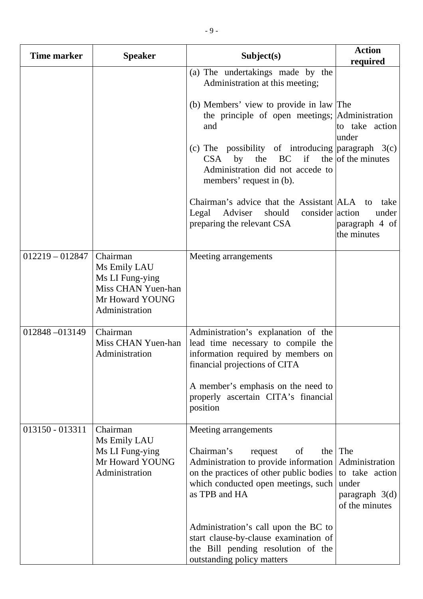| <b>Time marker</b> | <b>Speaker</b>                                                                                         | Subject(s)                                                                                                                                                                                             | <b>Action</b><br>required                                                              |
|--------------------|--------------------------------------------------------------------------------------------------------|--------------------------------------------------------------------------------------------------------------------------------------------------------------------------------------------------------|----------------------------------------------------------------------------------------|
|                    |                                                                                                        | (a) The undertakings made by the<br>Administration at this meeting;                                                                                                                                    |                                                                                        |
|                    |                                                                                                        | (b) Members' view to provide in law The<br>the principle of open meetings; Administration<br>and                                                                                                       | to take action<br>under                                                                |
|                    |                                                                                                        | (c) The possibility of introducing paragraph $3(c)$<br>$BC$ if the of the minutes<br><b>CSA</b><br>the<br>by<br>Administration did not accede to<br>members' request in (b).                           |                                                                                        |
|                    |                                                                                                        | Chairman's advice that the Assistant ALA<br>should consider action<br>Legal<br>Adviser<br>preparing the relevant CSA                                                                                   | take<br>to<br>under<br>paragraph 4 of<br>the minutes                                   |
| $012219 - 012847$  | Chairman<br>Ms Emily LAU<br>Ms LI Fung-ying<br>Miss CHAN Yuen-han<br>Mr Howard YOUNG<br>Administration | Meeting arrangements                                                                                                                                                                                   |                                                                                        |
| 012848-013149      | Chairman<br>Miss CHAN Yuen-han<br>Administration                                                       | Administration's explanation of the<br>lead time necessary to compile the<br>information required by members on<br>financial projections of CITA                                                       |                                                                                        |
|                    |                                                                                                        | A member's emphasis on the need to<br>properly ascertain CITA's financial<br>position                                                                                                                  |                                                                                        |
| 013150 - 013311    | Chairman<br>Ms Emily LAU<br>Ms LI Fung-ying<br>Mr Howard YOUNG<br>Administration                       | Meeting arrangements<br>Chairman's<br>request<br>of<br>the<br>Administration to provide information<br>on the practices of other public bodies<br>which conducted open meetings, such<br>as TPB and HA | The<br>Administration<br>to take action<br>under<br>paragraph $3(d)$<br>of the minutes |
|                    |                                                                                                        | Administration's call upon the BC to<br>start clause-by-clause examination of<br>the Bill pending resolution of the<br>outstanding policy matters                                                      |                                                                                        |